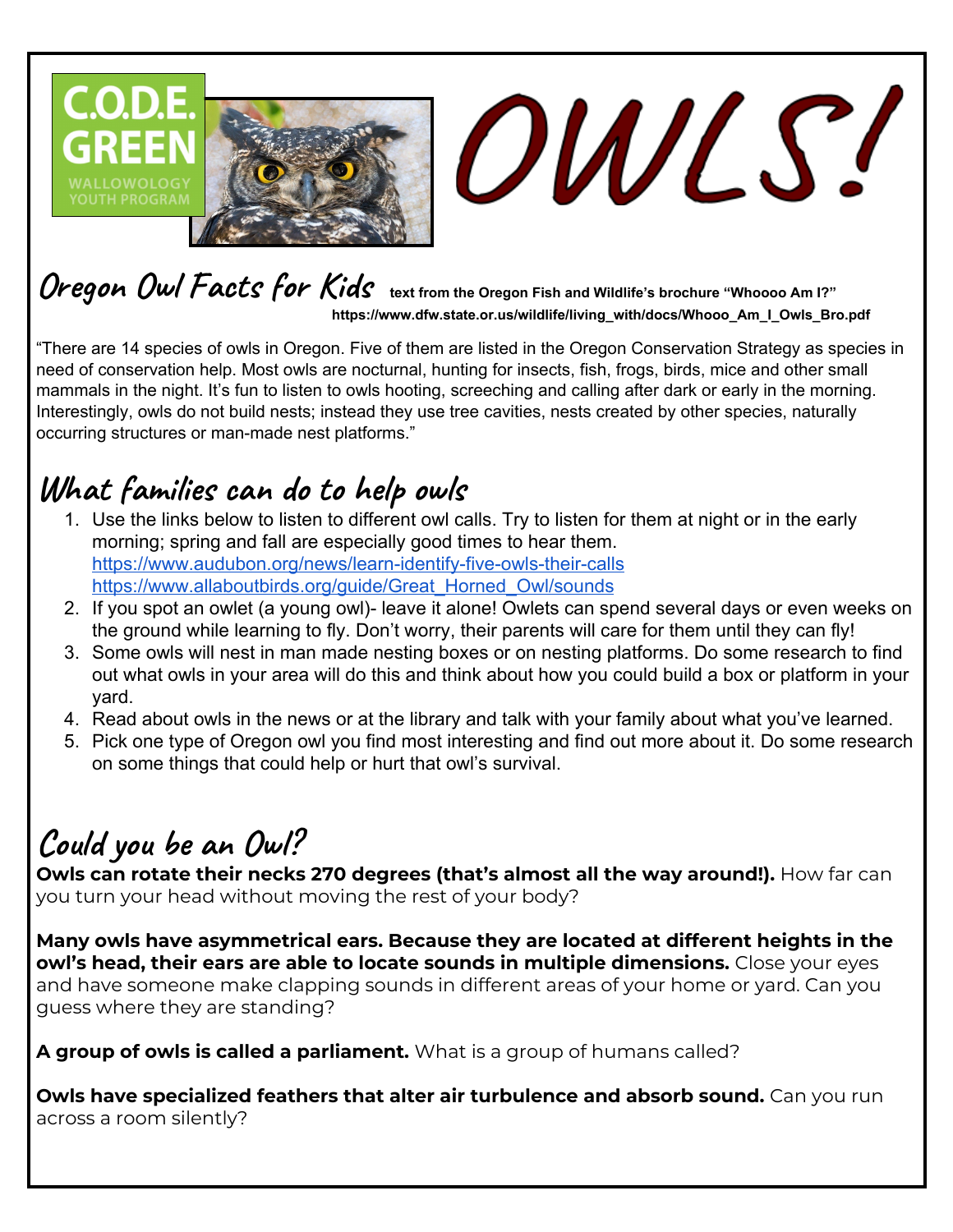

## **Oregon Owl Facts for Kids text from the Oregon Fish and Wildlife's brochure "Whoooo Am I?" https://www.dfw.state.or.us/wildlife/living\_with/docs/Whooo\_Am\_I\_Owls\_Bro.pdf**

"There are 14 species of owls in Oregon. Five of them are listed in the Oregon Conservation Strategy as species in need of conservation help. Most owls are nocturnal, hunting for insects, fish, frogs, birds, mice and other small mammals in the night. It's fun to listen to owls hooting, screeching and calling after dark or early in the morning. Interestingly, owls do not build nests; instead they use tree cavities, nests created by other species, naturally occurring structures or man-made nest platforms."

## **What families can do to help owls**

- 1. Use the links below to listen to different owl calls. Try to listen for them at night or in the early morning; spring and fall are especially good times to hear them. <https://www.audubon.org/news/learn-identify-five-owls-their-calls> [https://www.allaboutbirds.org/guide/Great\\_Horned\\_Owl/sounds](https://www.allaboutbirds.org/guide/Great_Horned_Owl/sounds)
- 2. If you spot an owlet (a young owl)- leave it alone! Owlets can spend several days or even weeks on the ground while learning to fly. Don't worry, their parents will care for them until they can fly!
- 3. Some owls will nest in man made nesting boxes or on nesting platforms. Do some research to find out what owls in your area will do this and think about how you could build a box or platform in your yard.
- 4. Read about owls in the news or at the library and talk with your family about what you've learned.
- 5. Pick one type of Oregon owl you find most interesting and find out more about it. Do some research on some things that could help or hurt that owl's survival.

## **Could you be an Owl?**

**Owls can rotate their necks 270 degrees (that's almost all the way around!).** How far can you turn your head without moving the rest of your body?

**Many owls have asymmetrical ears. Because they are located at different heights in the owl's head, their ears are able to locate sounds in multiple dimensions.** Close your eyes and have someone make clapping sounds in different areas of your home or yard. Can you guess where they are standing?

**A group of owls is called a parliament.** What is a group of humans called?

**Owls have specialized feathers that alter air turbulence and absorb sound.** Can you run across a room silently?